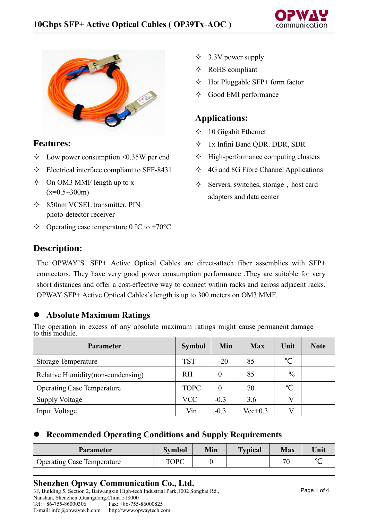



#### **Features:**

- $\Diamond$  Low power consumption <0.35W per end
- $\div$  Electrical interface compliant to SFF-8431
- $\Diamond$  On OM3 MMF length up to x  $(x=0.5~300m)$
- 850nm VCSEL transmitter, PIN photo-detector receiver
- $\Diamond$  Operating case temperature 0 °C to +70°C
- $\triangle$  3.3V power supply
- $\Diamond$  RoHS compliant
- $\Diamond$  Hot Pluggable SFP+ form factor
- $\Diamond$  Good EMI performance

# **Applications:**

- $\div$  10 Gigabit Ethernet
- 1x Infini Band QDR. DDR, SDR
- $\Diamond$  High-performance computing clusters
- $\triangle$  4G and 8G Fibre Channel Applications
- $\Diamond$  Servers, switches, storage, host card adapters and data center

# **Description:**

The OPWAY'S SFP+ Active Optical Cables are direct-attach fiber assemblies with SFP+ connectors. They have very good power consumption performance .They are suitable for very short distances and offer a cost-effective way to connect within racks and across adjacent racks. OPWAY SFP+ Active Optical Cables's length is up to 300 meters on OM3 MMF.

### ⚫ **Absolute Maximum Ratings**

The operation in excess of any absolute maximum ratings might cause permanent damage to this module.

| <b>Parameter</b>                   | <b>Symbol</b> | Min      | <b>Max</b>  | Unit         | <b>Note</b> |
|------------------------------------|---------------|----------|-------------|--------------|-------------|
| <b>Storage Temperature</b>         | <b>TST</b>    | $-20$    | 85          | $^{\circ}$ C |             |
| Relative Humidity (non-condensing) | <b>RH</b>     | $\theta$ | 85          | $\%$         |             |
| <b>Operating Case Temperature</b>  | <b>TOPC</b>   | 0        | 70          | $^{\circ}$ C |             |
| <b>Supply Voltage</b>              | <b>VCC</b>    | $-0.3$   | 3.6         | V            |             |
| Input Voltage                      | Vin           | $-0.3$   | $Vec{+}0.3$ | V            |             |

### ⚫ **Recommended Operating Conditions and Supply Requirements**

| <b>Parameter</b>                  | <b>Symbol</b> | Min | <b>Typical</b> | <b>Max</b> | Unit   |
|-----------------------------------|---------------|-----|----------------|------------|--------|
| <b>Operating Case Temperature</b> | TOPC          |     |                | חר         | $\sim$ |

**Shenzhen Opway Communication Co., Ltd.** 3F, Building 5, Section 2, Baiwangxin High-tech Industrial Park,1002 Songbai Rd., Nanshan, Shenzhen ,Guangdong,China 518000 Fax: +86-755-86000825

E-mail: info@opwaytech.com http://www.opwaytech.com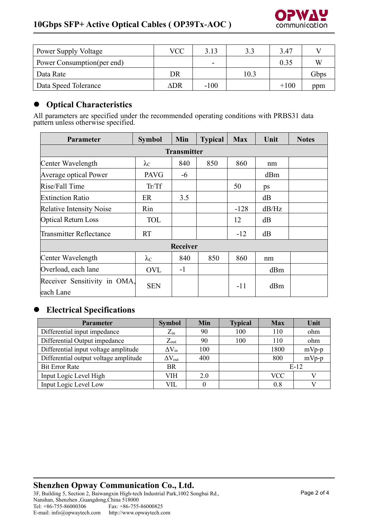

| <b>Power Supply Voltage</b> | VCC | 3.13                     | 3.3  | 3.47   |      |
|-----------------------------|-----|--------------------------|------|--------|------|
| Power Consumption (per end) |     | $\overline{\phantom{0}}$ |      | 0.35   | W    |
| Data Rate                   | DR  |                          | 10.3 |        | Gbps |
| Data Speed Tolerance        | ∆DR | $-100$                   |      | $+100$ | ppm  |

## ⚫ **Optical Characteristics**

All parameters are specified under the recommended operating conditions with PRBS31 data pattern unless otherwise specified.

| <b>Parameter</b>                          | <b>Symbol</b>      | Min  | <b>Typical</b> | <b>Max</b> | Unit  | <b>Notes</b> |  |
|-------------------------------------------|--------------------|------|----------------|------------|-------|--------------|--|
|                                           | <b>Transmitter</b> |      |                |            |       |              |  |
| Center Wavelength                         | $\lambda_{\rm C}$  | 840  | 850            | 860        | nm    |              |  |
| <b>Average optical Power</b>              | <b>PAVG</b>        | $-6$ |                |            | dBm   |              |  |
| Rise/Fall Time                            | Tr/Tf              |      |                | 50         | ps    |              |  |
| <b>Extinction Ratio</b>                   | ER                 | 3.5  |                |            | dB    |              |  |
| <b>Relative Intensity Noise</b>           | Rin                |      |                | $-128$     | dB/Hz |              |  |
| <b>Optical Return Loss</b>                | TOL                |      |                | 12         | dB    |              |  |
| <b>Transmitter Reflectance</b>            | <b>RT</b>          |      |                | $-12$      | dB    |              |  |
| <b>Receiver</b>                           |                    |      |                |            |       |              |  |
| Center Wavelength                         | $\lambda_{\rm C}$  | 840  | 850            | 860        | nm    |              |  |
| Overload, each lane                       | <b>OVL</b>         | $-1$ |                |            | dBm   |              |  |
| Receiver Sensitivity in OMA.<br>each Lane | <b>SEN</b>         |      |                | $-11$      | dBm   |              |  |

# ⚫ **Electrical Specifications**

| <b>Parameter</b>                      | <b>Symbol</b>           | Min | <b>Typical</b> | <b>Max</b> | Unit    |
|---------------------------------------|-------------------------|-----|----------------|------------|---------|
| Differential input impedance          | $Z_{\rm in}$            | 90  | 100            | 110        | ohm     |
| Differential Output impedance         | $Z_{\text{out}}$        | 90  | 100            | 110        | ohm     |
| Differential input voltage amplitude  | $\Delta V_{in}$         | 100 |                | 1800       | $mVp-p$ |
| Differential output voltage amplitude | $\Delta V_{\text{out}}$ | 400 |                | 800        | $mVp-p$ |
| <b>Bit Error Rate</b>                 | <b>BR</b>               |     |                | $E-12$     |         |
| Input Logic Level High                | VIH                     | 2.0 |                | <b>VCC</b> |         |
| Input Logic Level Low                 | VIL                     | 0   |                | 0.8        |         |

## **Shenzhen Opway Communication Co., Ltd.**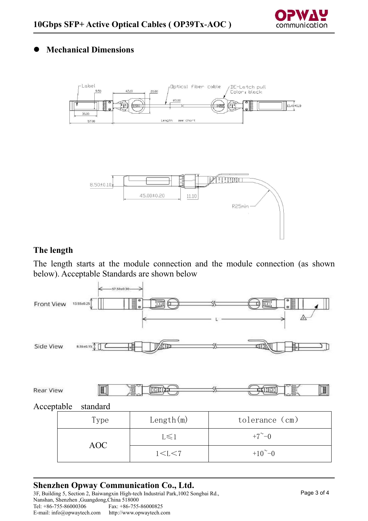

## ⚫ **Mechanical Dimensions**



## **The length**

The length starts at the module connection and the module connection (as shown below). Acceptable Standards are shown below



### **Shenzhen Opway Communication Co., Ltd.**

3F, Building 5, Section 2, Baiwangxin High-tech Industrial Park,1002 Songbai Rd., Nanshan, Shenzhen ,Guangdong,China 518000<br>Tel: +86-755-86000306 Fax: +86-755-Fax: +86-755-86000825<br>http://www.opwaytech.com E-mail: info@opwaytech.com